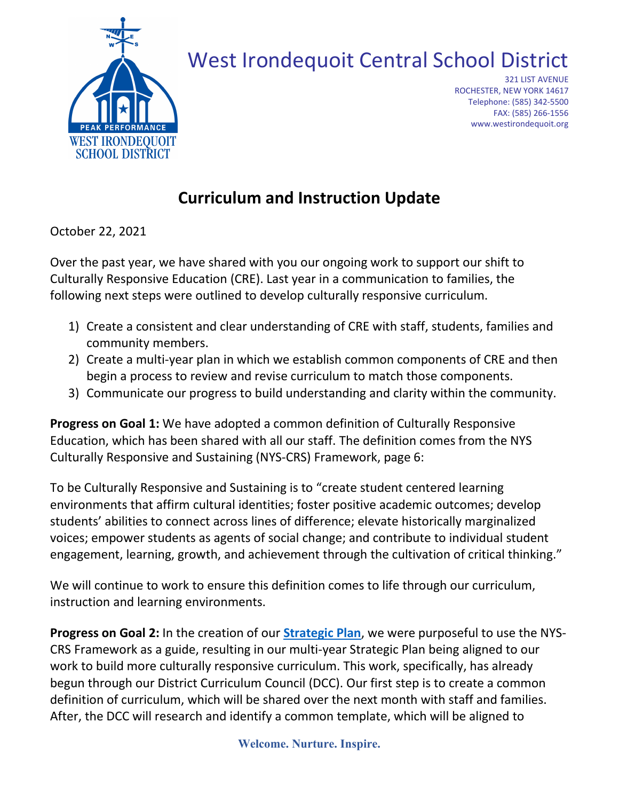

# West Irondequoit Central School District

321 LIST AVENUE ROCHESTER, NEW YORK 14617 Telephone: (585) 342-5500 FAX: (585) 266-1556 www.westirondequoit.org

## **Curriculum and Instruction Update**

October 22, 2021

Over the past year, we have shared with you our ongoing work to support our shift to Culturally Responsive Education (CRE). Last year in a communication to families, the following next steps were outlined to develop culturally responsive curriculum.

- 1) Create a consistent and clear understanding of CRE with staff, students, families and community members.
- 2) Create a multi-year plan in which we establish common components of CRE and then begin a process to review and revise curriculum to match those components.
- 3) Communicate our progress to build understanding and clarity within the community.

**Progress on Goal 1:** We have adopted a common definition of Culturally Responsive Education, which has been shared with all our staff. The definition comes from the NYS Culturally Responsive and Sustaining (NYS-CRS) Framework, page 6:

To be Culturally Responsive and Sustaining is to "create student centered learning environments that affirm cultural identities; foster positive academic outcomes; develop students' abilities to connect across lines of difference; elevate historically marginalized voices; empower students as agents of social change; and contribute to individual student engagement, learning, growth, and achievement through the cultivation of critical thinking."

We will continue to work to ensure this definition comes to life through our curriculum, instruction and learning environments.

**Progress on Goal 2:** In the creation of our **[Strategic Plan](https://p8cdn4static.sharpschool.com/UserFiles/Servers/Server_228510/File/DISTRICT/WICSD_StrategicPlan.pdf)**, we were purposeful to use the NYS-CRS Framework as a guide, resulting in our multi-year Strategic Plan being aligned to our work to build more culturally responsive curriculum. This work, specifically, has already begun through our District Curriculum Council (DCC). Our first step is to create a common definition of curriculum, which will be shared over the next month with staff and families. After, the DCC will research and identify a common template, which will be aligned to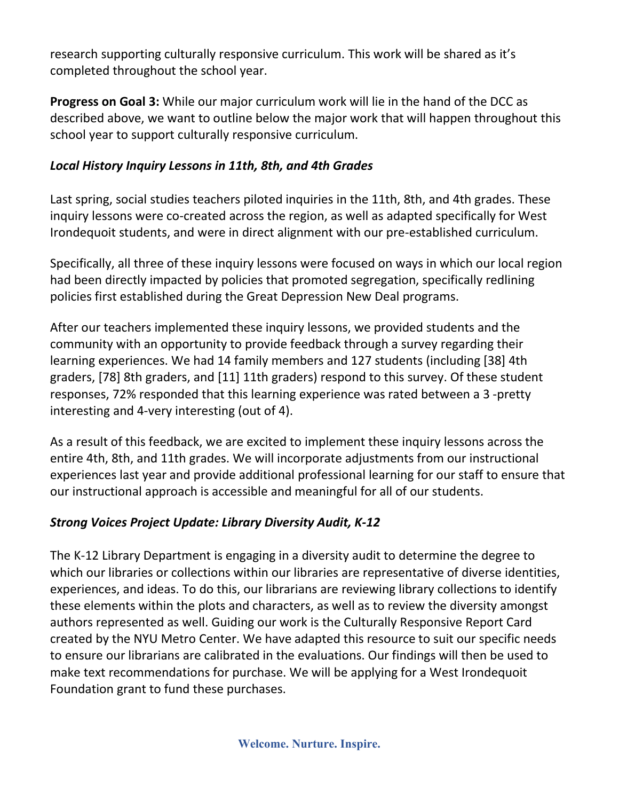research supporting culturally responsive curriculum. This work will be shared as it's completed throughout the school year.

**Progress on Goal 3:** While our major curriculum work will lie in the hand of the DCC as described above, we want to outline below the major work that will happen throughout this school year to support culturally responsive curriculum.

#### *Local History Inquiry Lessons in 11th, 8th, and 4th Grades*

Last spring, social studies teachers piloted inquiries in the 11th, 8th, and 4th grades. These inquiry lessons were co-created across the region, as well as adapted specifically for West Irondequoit students, and were in direct alignment with our pre-established curriculum.

Specifically, all three of these inquiry lessons were focused on ways in which our local region had been directly impacted by policies that promoted segregation, specifically redlining policies first established during the Great Depression New Deal programs.

After our teachers implemented these inquiry lessons, we provided students and the community with an opportunity to provide feedback through a survey regarding their learning experiences. We had 14 family members and 127 students (including [38] 4th graders, [78] 8th graders, and [11] 11th graders) respond to this survey. Of these student responses, 72% responded that this learning experience was rated between a 3 -pretty interesting and 4-very interesting (out of 4).

As a result of this feedback, we are excited to implement these inquiry lessons across the entire 4th, 8th, and 11th grades. We will incorporate adjustments from our instructional experiences last year and provide additional professional learning for our staff to ensure that our instructional approach is accessible and meaningful for all of our students.

### *Strong Voices Project Update: Library Diversity Audit, K-12*

The K-12 Library Department is engaging in a diversity audit to determine the degree to which our libraries or collections within our libraries are representative of diverse identities, experiences, and ideas. To do this, our librarians are reviewing library collections to identify these elements within the plots and characters, as well as to review the diversity amongst authors represented as well. Guiding our work is the Culturally Responsive Report Card created by the NYU Metro Center. We have adapted this resource to suit our specific needs to ensure our librarians are calibrated in the evaluations. Our findings will then be used to make text recommendations for purchase. We will be applying for a West Irondequoit Foundation grant to fund these purchases.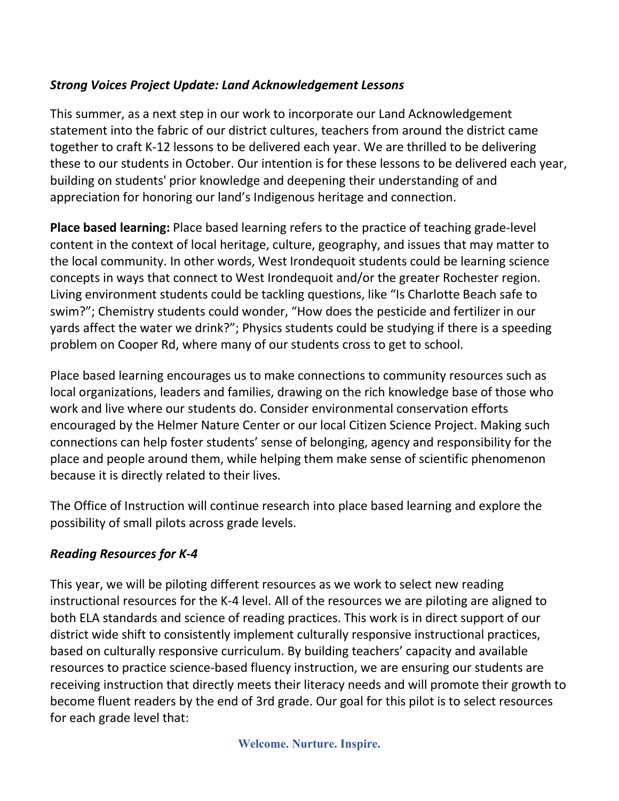#### *Strong Voices Project Update: Land Acknowledgement Lessons*

This summer, as a next step in our work to incorporate our Land Acknowledgement statement into the fabric of our district cultures, teachers from around the district came together to craft K-12 lessons to be delivered each year. We are thrilled to be delivering these to our students in October. Our intention is for these lessons to be delivered each year, building on students' prior knowledge and deepening their understanding of and appreciation for honoring our land's Indigenous heritage and connection.

**Place based learning:** Place based learning refers to the practice of teaching grade-level content in the context of local heritage, culture, geography, and issues that may matter to the local community. In other words, West Irondequoit students could be learning science concepts in ways that connect to West Irondequoit and/or the greater Rochester region. Living environment students could be tackling questions, like "Is Charlotte Beach safe to swim?"; Chemistry students could wonder, "How does the pesticide and fertilizer in our yards affect the water we drink?"; Physics students could be studying if there is a speeding problem on Cooper Rd, where many of our students cross to get to school.

Place based learning encourages us to make connections to community resources such as local organizations, leaders and families, drawing on the rich knowledge base of those who work and live where our students do. Consider environmental conservation efforts encouraged by the Helmer Nature Center or our local Citizen Science Project. Making such connections can help foster students' sense of belonging, agency and responsibility for the place and people around them, while helping them make sense of scientific phenomenon because it is directly related to their lives.

The Office of Instruction will continue research into place based learning and explore the possibility of small pilots across grade levels.

#### *Reading Resources for K-4*

This year, we will be piloting different resources as we work to select new reading instructional resources for the K-4 level. All of the resources we are piloting are aligned to both ELA standards and science of reading practices. This work is in direct support of our district wide shift to consistently implement culturally responsive instructional practices, based on culturally responsive curriculum. By building teachers' capacity and available resources to practice science-based fluency instruction, we are ensuring our students are receiving instruction that directly meets their literacy needs and will promote their growth to become fluent readers by the end of 3rd grade. Our goal for this pilot is to select resources for each grade level that:

**Welcome. Nurture. Inspire.**